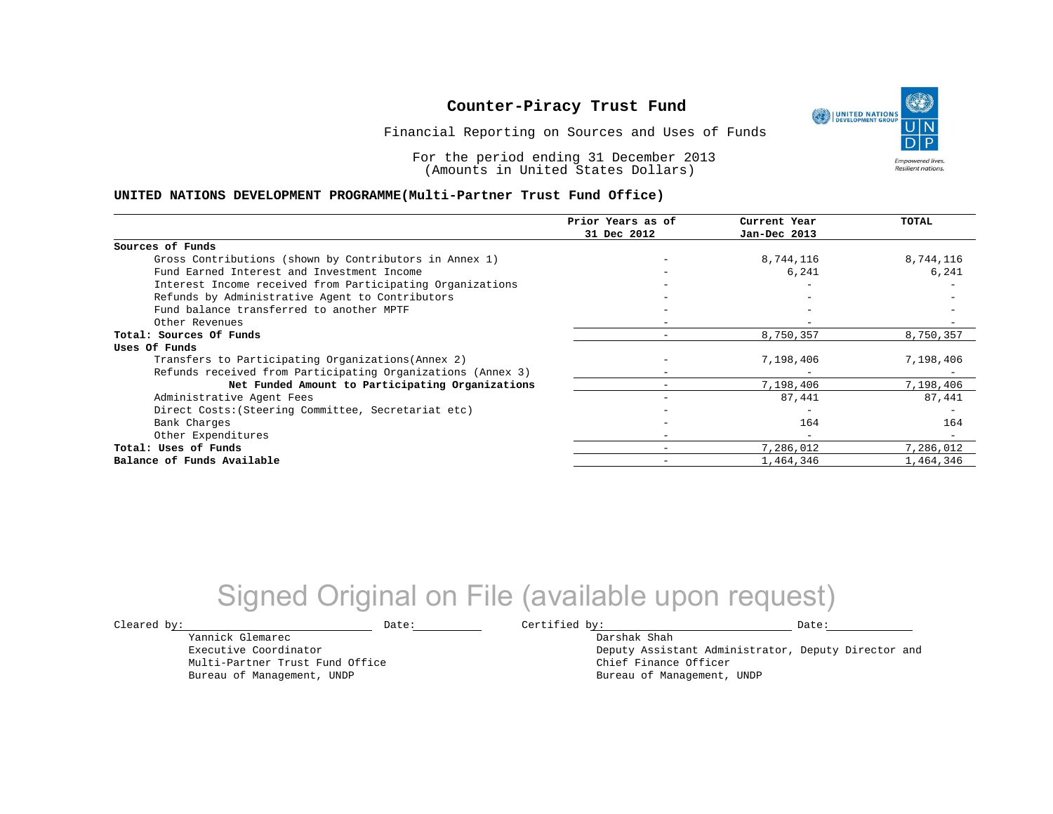Financial Reporting on Sources and Uses of Funds

For the period ending 31 December 2013 (Amounts in United States Dollars)

#### **UNITED NATIONS DEVELOPMENT PROGRAMME(Multi-Partner Trust Fund Office)**

|                                                             | Prior Years as of | Current Year             | TOTAL     |
|-------------------------------------------------------------|-------------------|--------------------------|-----------|
|                                                             | 31 Dec 2012       | Jan-Dec 2013             |           |
| Sources of Funds                                            |                   |                          |           |
| Gross Contributions (shown by Contributors in Annex 1)      |                   | 8,744,116                | 8,744,116 |
| Fund Earned Interest and Investment Income                  |                   | 6,241                    | 6,241     |
| Interest Income received from Participating Organizations   |                   | $\overline{\phantom{0}}$ |           |
| Refunds by Administrative Agent to Contributors             |                   |                          |           |
| Fund balance transferred to another MPTF                    |                   |                          |           |
| Other Revenues                                              |                   |                          |           |
| Total: Sources Of Funds                                     |                   | 8,750,357                | 8,750,357 |
| Uses Of Funds                                               |                   |                          |           |
| Transfers to Participating Organizations (Annex 2)          |                   | 7,198,406                | 7,198,406 |
| Refunds received from Participating Organizations (Annex 3) |                   |                          |           |
| Net Funded Amount to Participating Organizations            |                   | 7,198,406                | 7,198,406 |
| Administrative Agent Fees                                   |                   | 87,441                   | 87,441    |
| Direct Costs: (Steering Committee, Secretariat etc)         |                   |                          |           |
| Bank Charges                                                |                   | 164                      | 164       |
| Other Expenditures                                          |                   | $\overline{\phantom{m}}$ |           |
| Total: Uses of Funds                                        |                   | 7,286,012                | 7,286,012 |
| Balance of Funds Available                                  |                   | 1,464,346                | 1,464,346 |

## Signed Original on File (available upon request)

Yannick Glemarec Executive Coordinator Multi-Partner Trust Fund Office Bureau of Management, UNDP

 $\texttt{Cleared by:}\footnotesize \begin{minipage}{0.9\linewidth} \texttt{Date:}\footnotesize \begin{minipage}{0.9\linewidth} \texttt{Date:}\footnotesize \begin{minipage}{0.9\linewidth} \end{minipage} \end{minipage}$ Darshak Shah

Deputy Assistant Administrator, Deputy Director and Chief Finance Officer Bureau of Management, UNDP

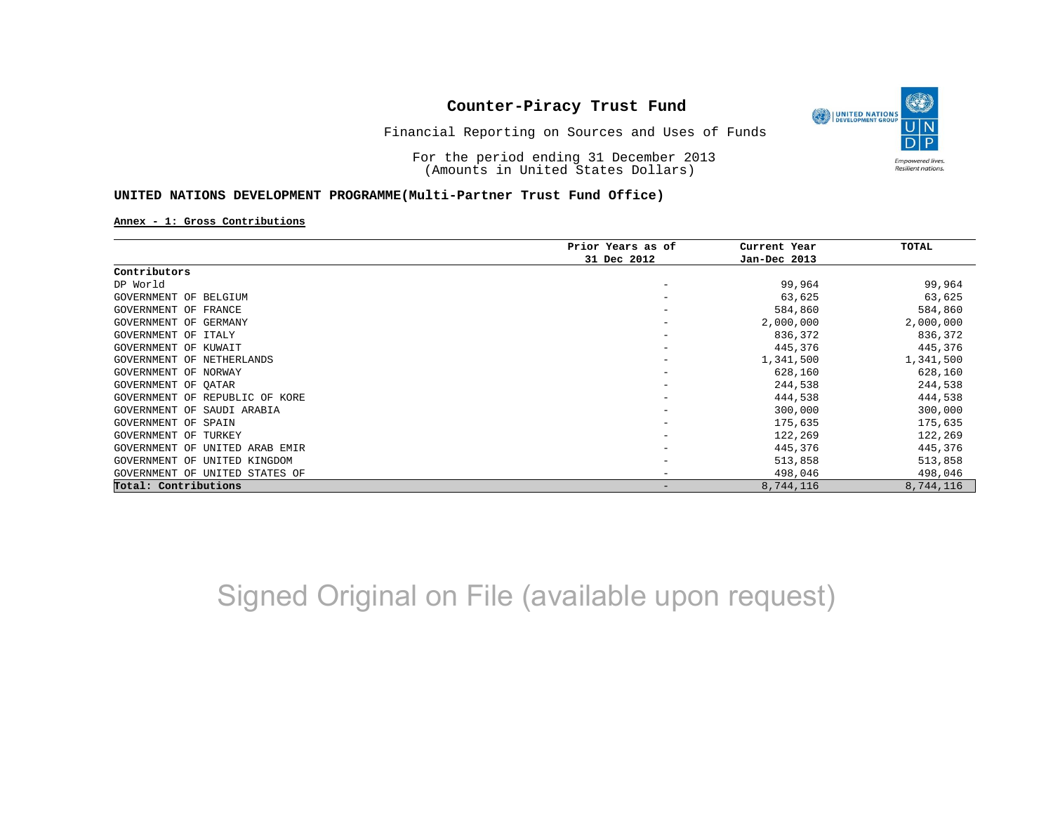

Financial Reporting on Sources and Uses of Funds

For the period ending 31 December 2013 (Amounts in United States Dollars)

#### **UNITED NATIONS DEVELOPMENT PROGRAMME(Multi-Partner Trust Fund Office)**

#### **Annex - 1: Gross Contributions**

|                                      | Prior Years as of | Current Year | <b>TOTAL</b> |
|--------------------------------------|-------------------|--------------|--------------|
|                                      | 31 Dec 2012       | Jan-Dec 2013 |              |
| Contributors                         |                   |              |              |
| DP World                             |                   | 99,964       | 99,964       |
| GOVERNMENT OF BELGIUM                |                   | 63,625       | 63,625       |
| GOVERNMENT OF FRANCE                 |                   | 584,860      | 584,860      |
| GOVERNMENT OF GERMANY                |                   | 2,000,000    | 2,000,000    |
| GOVERNMENT OF<br>ITALY               |                   | 836,372      | 836,372      |
| GOVERNMENT OF KUWAIT                 |                   | 445,376      | 445,376      |
| GOVERNMENT OF NETHERLANDS            |                   | 1,341,500    | 1,341,500    |
| GOVERNMENT OF NORWAY                 |                   | 628,160      | 628,160      |
| GOVERNMENT OF OATAR                  |                   | 244,538      | 244,538      |
| GOVERNMENT OF REPUBLIC OF KORE       |                   | 444,538      | 444,538      |
| GOVERNMENT OF<br>SAUDI ARABIA        |                   | 300,000      | 300,000      |
| GOVERNMENT OF<br>SPAIN               |                   | 175,635      | 175,635      |
| GOVERNMENT<br>TURKEY<br>OF           |                   | 122,269      | 122,269      |
| GOVERNMENT<br>UNITED ARAB EMIR<br>OF |                   | 445,376      | 445,376      |
| GOVERNMENT<br>UNITED KINGDOM<br>OF   |                   | 513,858      | 513,858      |
| GOVERNMENT OF UNITED STATES OF       |                   | 498,046      | 498,046      |
| Total: Contributions                 |                   | 8,744,116    | 8,744,116    |

Signed Original on File (available upon request)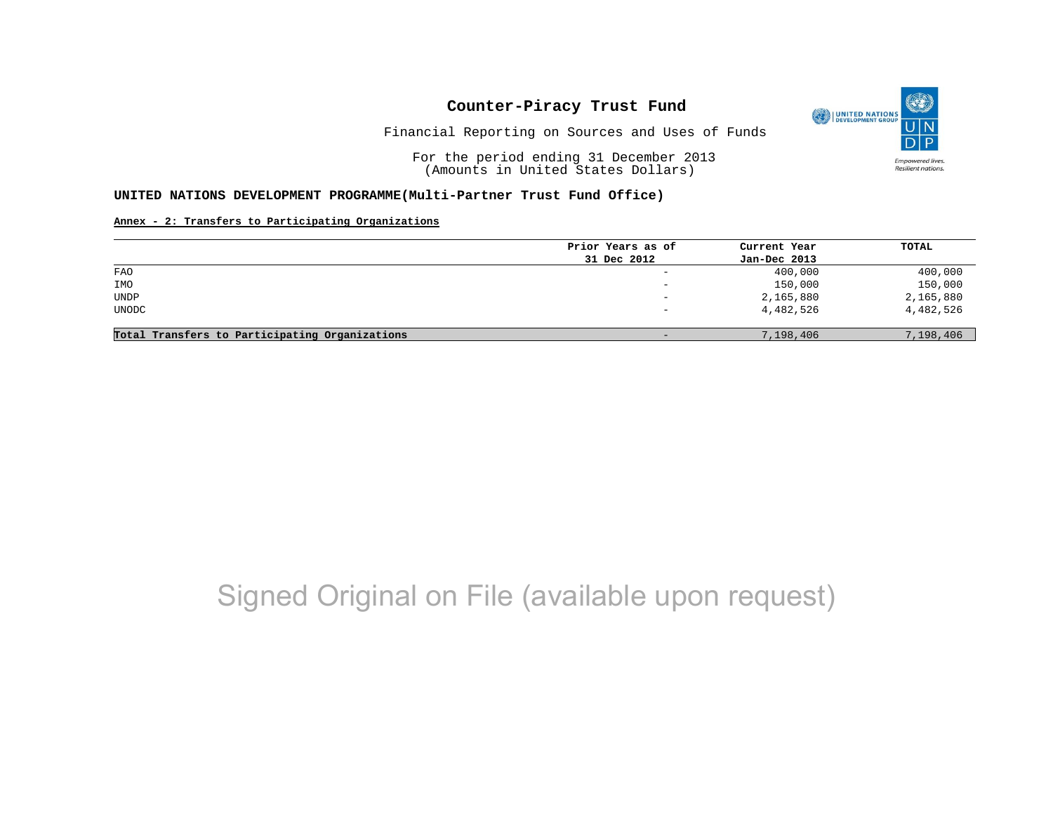

Financial Reporting on Sources and Uses of Funds

For the period ending 31 December 2013 (Amounts in United States Dollars)

#### **UNITED NATIONS DEVELOPMENT PROGRAMME(Multi-Partner Trust Fund Office)**

#### **Annex - 2: Transfers to Participating Organizations**

|                                                | Prior Years as of            | Current Year | TOTAL     |
|------------------------------------------------|------------------------------|--------------|-----------|
|                                                | 31 Dec 2012                  | Jan-Dec 2013 |           |
| FAO                                            | $\qquad \qquad \blacksquare$ | 400,000      | 400,000   |
| IMO                                            | $\qquad \qquad -$            | 150,000      | 150,000   |
| UNDP                                           | $-$                          | 2,165,880    | 2,165,880 |
| UNODC                                          |                              | 4,482,526    | 4,482,526 |
| Total Transfers to Participating Organizations | -                            | 7,198,406    | 7,198,406 |

# Signed Original on File (available upon request)